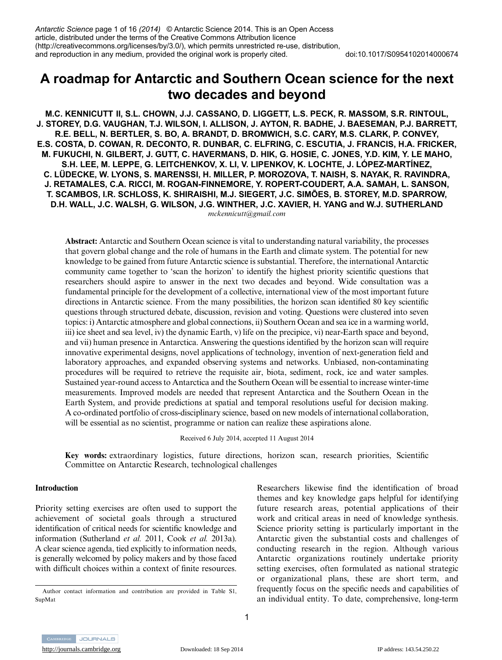Antarctic Science page 1 of 16 (2014) © Antarctic Science 2014. This is an Open Access article, distributed under the terms of the Creative Commons Attribution licence (http://creativecommons.org/licenses/by/3.0/), which permits unrestricted re-use, distribution, and reproduction in any medium, provided the original work is properly cited. doi:10.1017/S0954102014000674

# A roadmap for Antarctic and Southern Ocean science for the next two decades and beyond

M.C. KENNICUTT II, S.L. CHOWN, J.J. CASSANO, D. LIGGETT, L.S. PECK, R. MASSOM, S.R. RINTOUL, J. STOREY, D.G. VAUGHAN, T.J. WILSON, I. ALLISON, J. AYTON, R. BADHE, J. BAESEMAN, P.J. BARRETT, R.E. BELL, N. BERTLER, S. BO, A. BRANDT, D. BROMWICH, S.C. CARY, M.S. CLARK, P. CONVEY, E.S. COSTA, D. COWAN, R. DECONTO, R. DUNBAR, C. ELFRING, C. ESCUTIA, J. FRANCIS, H.A. FRICKER, M. FUKUCHI, N. GILBERT, J. GUTT, C. HAVERMANS, D. HIK, G. HOSIE, C. JONES, Y.D. KIM, Y. LE MAHO, S.H. LEE, M. LEPPE, G. LEITCHENKOV, X. LI, V. LIPENKOV, K. LOCHTE, J. LÓPEZ-MARTÍNEZ, C. LÜDECKE, W. LYONS, S. MARENSSI, H. MILLER, P. MOROZOVA, T. NAISH, S. NAYAK, R. RAVINDRA, J. RETAMALES, C.A. RICCI, M. ROGAN-FINNEMORE, Y. ROPERT-COUDERT, A.A. SAMAH, L. SANSON, T. SCAMBOS, I.R. SCHLOSS, K. SHIRAISHI, M.J. SIEGERT, J.C. SIMÕES, B. STOREY, M.D. SPARROW, D.H. WALL, J.C. WALSH, G. WILSON, J.G. WINTHER, J.C. XAVIER, H. YANG and W.J. SUTHERLAND mckennicutt@gmail.com

Abstract: Antarctic and Southern Ocean science is vital to understanding natural variability, the processes that govern global change and the role of humans in the Earth and climate system. The potential for new knowledge to be gained from future Antarctic science is substantial. Therefore, the international Antarctic community came together to 'scan the horizon' to identify the highest priority scientific questions that researchers should aspire to answer in the next two decades and beyond. Wide consultation was a fundamental principle for the development of a collective, international view of the most important future directions in Antarctic science. From the many possibilities, the horizon scan identified 80 key scientific questions through structured debate, discussion, revision and voting. Questions were clustered into seven topics: i) Antarctic atmosphere and global connections, ii) Southern Ocean and sea ice in a warming world, iii) ice sheet and sea level, iv) the dynamic Earth, v) life on the precipice, vi) near-Earth space and beyond, and vii) human presence in Antarctica. Answering the questions identified by the horizon scan will require innovative experimental designs, novel applications of technology, invention of next-generation field and laboratory approaches, and expanded observing systems and networks. Unbiased, non-contaminating procedures will be required to retrieve the requisite air, biota, sediment, rock, ice and water samples. Sustained year-round access to Antarctica and the Southern Ocean will be essential to increase winter-time measurements. Improved models are needed that represent Antarctica and the Southern Ocean in the Earth System, and provide predictions at spatial and temporal resolutions useful for decision making. A co-ordinated portfolio of cross-disciplinary science, based on new models of international collaboration, will be essential as no scientist, programme or nation can realize these aspirations alone.

Received 6 July 2014, accepted 11 August 2014

Key words: extraordinary logistics, future directions, horizon scan, research priorities, Scientific Committee on Antarctic Research, technological challenges

1

# Introduction

Priority setting exercises are often used to support the achievement of societal goals through a structured identification of critical needs for scientific knowledge and information (Sutherland et al. [2011,](#page-15-0) Cook et al. [2013a](#page-13-0)). A clear science agenda, tied explicitly to information needs, is generally welcomed by policy makers and by those faced with difficult choices within a context of finite resources.

Researchers likewise find the identification of broad themes and key knowledge gaps helpful for identifying future research areas, potential applications of their work and critical areas in need of knowledge synthesis. Science priority setting is particularly important in the Antarctic given the substantial costs and challenges of conducting research in the region. Although various Antarctic organizations routinely undertake priority setting exercises, often formulated as national strategic or organizational plans, these are short term, and frequently focus on the specific needs and capabilities of an individual entity. To date, comprehensive, long-term



Author contact information and contribution are provided in Table S1, SupMat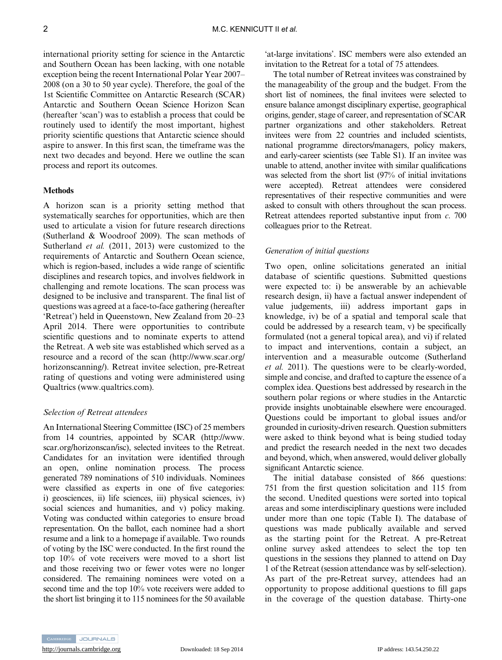international priority setting for science in the Antarctic and Southern Ocean has been lacking, with one notable exception being the recent International Polar Year 2007– 2008 (on a 30 to 50 year cycle). Therefore, the goal of the 1st Scientific Committee on Antarctic Research (SCAR) Antarctic and Southern Ocean Science Horizon Scan (hereafter 'scan') was to establish a process that could be routinely used to identify the most important, highest priority scientific questions that Antarctic science should aspire to answer. In this first scan, the timeframe was the next two decades and beyond. Here we outline the scan process and report its outcomes.

## Methods

A horizon scan is a priority setting method that systematically searches for opportunities, which are then used to articulate a vision for future research directions (Sutherland & Woodroof [2009](#page-15-0)). The scan methods of Sutherland *et al.* ([2011, 2013\)](#page-15-0) were customized to the requirements of Antarctic and Southern Ocean science, which is region-based, includes a wide range of scientific disciplines and research topics, and involves fieldwork in challenging and remote locations. The scan process was designed to be inclusive and transparent. The final list of questions was agreed at a face-to-face gathering (hereafter 'Retreat') held in Queenstown, New Zealand from 20–23 April 2014. There were opportunities to contribute scientific questions and to nominate experts to attend the Retreat. A web site was established which served as a resource and a record of the scan (http://www.scar.org/ horizonscanning/). Retreat invitee selection, pre-Retreat rating of questions and voting were administered using Qualtrics (www.qualtrics.com).

#### Selection of Retreat attendees

An International Steering Committee (ISC) of 25 members from 14 countries, appointed by SCAR (http://www. scar.org/horizonscan/isc), selected invitees to the Retreat. Candidates for an invitation were identified through an open, online nomination process. The process generated 789 nominations of 510 individuals. Nominees were classified as experts in one of five categories: i) geosciences, ii) life sciences, iii) physical sciences, iv) social sciences and humanities, and v) policy making. Voting was conducted within categories to ensure broad representation. On the ballot, each nominee had a short resume and a link to a homepage if available. Two rounds of voting by the ISC were conducted. In the first round the top 10% of vote receivers were moved to a short list and those receiving two or fewer votes were no longer considered. The remaining nominees were voted on a second time and the top 10% vote receivers were added to the short list bringing it to 115 nominees for the 50 available 'at-large invitations'. ISC members were also extended an invitation to the Retreat for a total of 75 attendees.

The total number of Retreat invitees was constrained by the manageability of the group and the budget. From the short list of nominees, the final invitees were selected to ensure balance amongst disciplinary expertise, geographical origins, gender, stage of career, and representation of SCAR partner organizations and other stakeholders. Retreat invitees were from 22 countries and included scientists, national programme directors/managers, policy makers, and early-career scientists (see Table S1). If an invitee was unable to attend, another invitee with similar qualifications was selected from the short list (97% of initial invitations were accepted). Retreat attendees were considered representatives of their respective communities and were asked to consult with others throughout the scan process. Retreat attendees reported substantive input from c. 700 colleagues prior to the Retreat.

## Generation of initial questions

Two open, online solicitations generated an initial database of scientific questions. Submitted questions were expected to: i) be answerable by an achievable research design, ii) have a factual answer independent of value judgements, iii) address important gaps in knowledge, iv) be of a spatial and temporal scale that could be addressed by a research team, v) be specifically formulated (not a general topical area), and vi) if related to impact and interventions, contain a subject, an intervention and a measurable outcome (Sutherland et al. [2011](#page-15-0)). The questions were to be clearly-worded, simple and concise, and drafted to capture the essence of a complex idea. Questions best addressed by research in the southern polar regions or where studies in the Antarctic provide insights unobtainable elsewhere were encouraged. Questions could be important to global issues and/or grounded in curiosity-driven research. Question submitters were asked to think beyond what is being studied today and predict the research needed in the next two decades and beyond, which, when answered, would deliver globally significant Antarctic science.

The initial database consisted of 866 questions: 751 from the first question solicitation and 115 from the second. Unedited questions were sorted into topical areas and some interdisciplinary questions were included under more than one topic [\(Table I](#page-2-0)). The database of questions was made publically available and served as the starting point for the Retreat. A pre-Retreat online survey asked attendees to select the top ten questions in the sessions they planned to attend on Day 1 of the Retreat (session attendance was by self-selection). As part of the pre-Retreat survey, attendees had an opportunity to propose additional questions to fill gaps in the coverage of the question database. Thirty-one

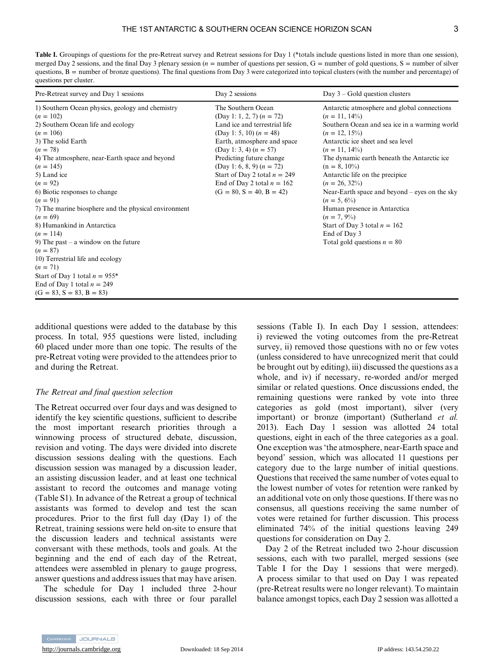<span id="page-2-0"></span>Table I. Groupings of questions for the pre-Retreat survey and Retreat sessions for Day 1 (\*totals include questions listed in more than one session), merged Day 2 sessions, and the final Day 3 plenary session ( $n =$  number of questions per session,  $G =$  number of gold questions,  $S =$  number of silver questions,  $B =$  number of bronze questions). The final questions from Day 3 were categorized into topical clusters (with the number and percentage) of questions per cluster.

| Pre-Retreat survey and Day 1 sessions                                                                                                                                                                                                                                                                                                                                                                                                                                                                                                                                                                                                | Day 2 sessions                                                                                                                                                                                                                                                                                                                          | Day $3 -$ Gold question clusters                                                                                                                                                                                                                                                                                                                                                                                                                                                                                                 |
|--------------------------------------------------------------------------------------------------------------------------------------------------------------------------------------------------------------------------------------------------------------------------------------------------------------------------------------------------------------------------------------------------------------------------------------------------------------------------------------------------------------------------------------------------------------------------------------------------------------------------------------|-----------------------------------------------------------------------------------------------------------------------------------------------------------------------------------------------------------------------------------------------------------------------------------------------------------------------------------------|----------------------------------------------------------------------------------------------------------------------------------------------------------------------------------------------------------------------------------------------------------------------------------------------------------------------------------------------------------------------------------------------------------------------------------------------------------------------------------------------------------------------------------|
| 1) Southern Ocean physics, geology and chemistry<br>$(n = 102)$<br>2) Southern Ocean life and ecology<br>$(n = 106)$<br>3) The solid Earth<br>$(n = 78)$<br>4) The atmosphere, near-Earth space and beyond<br>$(n = 145)$<br>5) Land ice<br>$(n = 92)$<br>6) Biotic responses to change<br>$(n = 91)$<br>7) The marine biosphere and the physical environment<br>$(n = 69)$<br>8) Humankind in Antarctica<br>$(n = 114)$<br>9) The past $-$ a window on the future<br>$(n = 87)$<br>10) Terrestrial life and ecology<br>$(n = 71)$<br>Start of Day 1 total $n = 955^*$<br>End of Day 1 total $n = 249$<br>$(G = 83, S = 83, B = 83)$ | The Southern Ocean<br>$(Day 1: 1, 2, 7)$ $(n = 72)$<br>Land ice and terrestrial life<br>(Day 1: 5, 10) $(n = 48)$<br>Earth, atmosphere and space<br>(Day 1: 3, 4) $(n = 57)$<br>Predicting future change<br>$(Day 1: 6, 8, 9) (n = 72)$<br>Start of Day 2 total $n = 249$<br>End of Day 2 total $n = 162$<br>$(G = 80, S = 40, B = 42)$ | Antarctic atmosphere and global connections<br>$(n = 11, 14\%)$<br>Southern Ocean and sea ice in a warming world<br>$(n = 12, 15\%)$<br>Antarctic ice sheet and sea level<br>$(n = 11, 14\%)$<br>The dynamic earth beneath the Antarctic ice<br>$(n = 8, 10\%)$<br>Antarctic life on the precipice<br>$(n = 26, 32\%)$<br>Near-Earth space and beyond $-$ eyes on the sky<br>$(n = 5, 6\%)$<br>Human presence in Antarctica<br>$(n = 7, 9\%)$<br>Start of Day 3 total $n = 162$<br>End of Day 3<br>Total gold questions $n = 80$ |

additional questions were added to the database by this process. In total, 955 questions were listed, including 60 placed under more than one topic. The results of the pre-Retreat voting were provided to the attendees prior to and during the Retreat.

## The Retreat and final question selection

The Retreat occurred over four days and was designed to identify the key scientific questions, sufficient to describe the most important research priorities through a winnowing process of structured debate, discussion, revision and voting. The days were divided into discrete discussion sessions dealing with the questions. Each discussion session was managed by a discussion leader, an assisting discussion leader, and at least one technical assistant to record the outcomes and manage voting (Table S1). In advance of the Retreat a group of technical assistants was formed to develop and test the scan procedures. Prior to the first full day (Day 1) of the Retreat, training sessions were held on-site to ensure that the discussion leaders and technical assistants were conversant with these methods, tools and goals. At the beginning and the end of each day of the Retreat, attendees were assembled in plenary to gauge progress, answer questions and address issues that may have arisen.

The schedule for Day 1 included three 2-hour discussion sessions, each with three or four parallel sessions (Table I). In each Day 1 session, attendees: i) reviewed the voting outcomes from the pre-Retreat survey, ii) removed those questions with no or few votes (unless considered to have unrecognized merit that could be brought out by editing), iii) discussed the questions as a whole, and iv) if necessary, re-worded and/or merged similar or related questions. Once discussions ended, the remaining questions were ranked by vote into three categories as gold (most important), silver (very important) or bronze (important) (Sutherland *et al.* [2013\)](#page-15-0). Each Day 1 session was allotted 24 total questions, eight in each of the three categories as a goal. One exception was 'the atmosphere, near-Earth space and beyond' session, which was allocated 11 questions per category due to the large number of initial questions. Questions that received the same number of votes equal to the lowest number of votes for retention were ranked by an additional vote on only those questions. If there was no consensus, all questions receiving the same number of votes were retained for further discussion. This process eliminated 74% of the initial questions leaving 249 questions for consideration on Day 2.

Day 2 of the Retreat included two 2-hour discussion sessions, each with two parallel, merged sessions (see Table I for the Day 1 sessions that were merged). A process similar to that used on Day 1 was repeated (pre-Retreat results were no longer relevant). To maintain balance amongst topics, each Day 2 session was allotted a

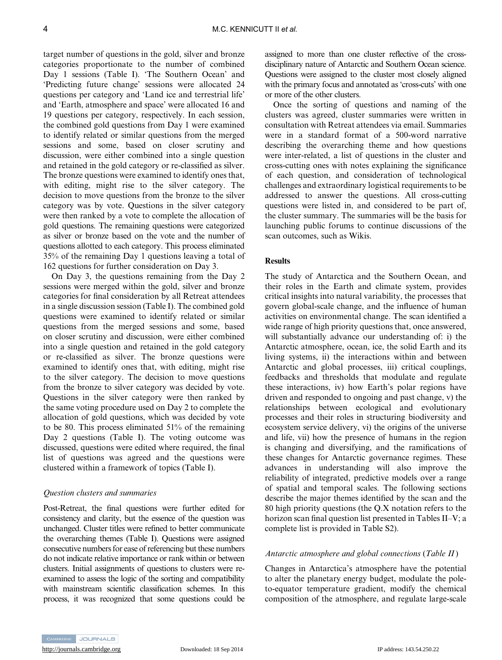target number of questions in the gold, silver and bronze categories proportionate to the number of combined Day 1 sessions ([Table I](#page-2-0)). 'The Southern Ocean' and 'Predicting future change' sessions were allocated 24 questions per category and 'Land ice and terrestrial life' and 'Earth, atmosphere and space' were allocated 16 and 19 questions per category, respectively. In each session, the combined gold questions from Day 1 were examined to identify related or similar questions from the merged sessions and some, based on closer scrutiny and discussion, were either combined into a single question and retained in the gold category or re-classified as silver. The bronze questions were examined to identify ones that, with editing, might rise to the silver category. The decision to move questions from the bronze to the silver category was by vote. Questions in the silver category were then ranked by a vote to complete the allocation of gold questions. The remaining questions were categorized as silver or bronze based on the vote and the number of questions allotted to each category. This process eliminated 35% of the remaining Day 1 questions leaving a total of 162 questions for further consideration on Day 3.

On Day 3, the questions remaining from the Day 2 sessions were merged within the gold, silver and bronze categories for final consideration by all Retreat attendees in a single discussion session ([Table I\)](#page-2-0). The combined gold questions were examined to identify related or similar questions from the merged sessions and some, based on closer scrutiny and discussion, were either combined into a single question and retained in the gold category or re-classified as silver. The bronze questions were examined to identify ones that, with editing, might rise to the silver category. The decision to move questions from the bronze to silver category was decided by vote. Questions in the silver category were then ranked by the same voting procedure used on Day 2 to complete the allocation of gold questions, which was decided by vote to be 80. This process eliminated 51% of the remaining Day 2 questions ([Table I](#page-2-0)). The voting outcome was discussed, questions were edited where required, the final list of questions was agreed and the questions were clustered within a framework of topics [\(Table I\)](#page-2-0).

## Question clusters and summaries

Post-Retreat, the final questions were further edited for consistency and clarity, but the essence of the question was unchanged. Cluster titles were refined to better communicate the overarching themes ([Table I\)](#page-2-0). Questions were assigned consecutive numbers for ease of referencing but these numbers do not indicate relative importance or rank within or between clusters. Initial assignments of questions to clusters were reexamined to assess the logic of the sorting and compatibility with mainstream scientific classification schemes. In this process, it was recognized that some questions could be assigned to more than one cluster reflective of the crossdisciplinary nature of Antarctic and Southern Ocean science. Questions were assigned to the cluster most closely aligned with the primary focus and annotated as 'cross-cuts' with one or more of the other clusters.

Once the sorting of questions and naming of the clusters was agreed, cluster summaries were written in consultation with Retreat attendees via email. Summaries were in a standard format of a 500-word narrative describing the overarching theme and how questions were inter-related, a list of questions in the cluster and cross-cutting ones with notes explaining the significance of each question, and consideration of technological challenges and extraordinary logistical requirements to be addressed to answer the questions. All cross-cutting questions were listed in, and considered to be part of, the cluster summary. The summaries will be the basis for launching public forums to continue discussions of the scan outcomes, such as Wikis.

# **Results**

The study of Antarctica and the Southern Ocean, and their roles in the Earth and climate system, provides critical insights into natural variability, the processes that govern global-scale change, and the influence of human activities on environmental change. The scan identified a wide range of high priority questions that, once answered, will substantially advance our understanding of: i) the Antarctic atmosphere, ocean, ice, the solid Earth and its living systems, ii) the interactions within and between Antarctic and global processes, iii) critical couplings, feedbacks and thresholds that modulate and regulate these interactions, iv) how Earth's polar regions have driven and responded to ongoing and past change, v) the relationships between ecological and evolutionary processes and their roles in structuring biodiversity and ecosystem service delivery, vi) the origins of the universe and life, vii) how the presence of humans in the region is changing and diversifying, and the ramifications of these changes for Antarctic governance regimes. These advances in understanding will also improve the reliability of integrated, predictive models over a range of spatial and temporal scales. The following sections describe the major themes identified by the scan and the 80 high priority questions (the Q.X notation refers to the horizon scan final question list presented in [Tables II](#page-4-0)–[V;](#page-9-0) a complete list is provided in Table S2).

## Antarctic atmosphere and global connections ([Table II](#page-4-0))

Changes in Antarctica's atmosphere have the potential to alter the planetary energy budget, modulate the poleto-equator temperature gradient, modify the chemical composition of the atmosphere, and regulate large-scale

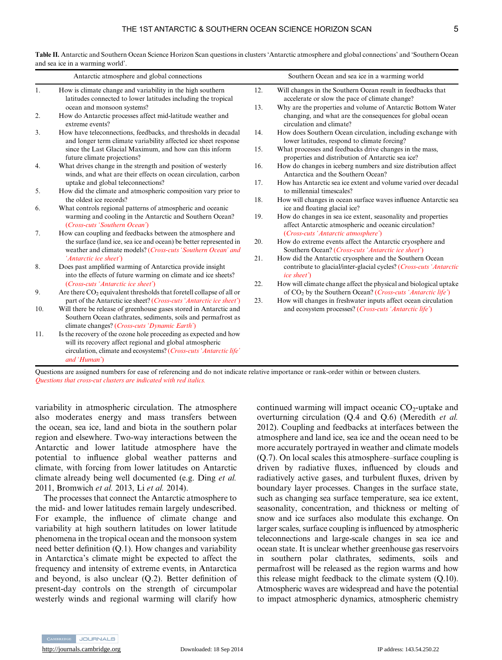<span id="page-4-0"></span>Table II. Antarctic and Southern Ocean Science Horizon Scan questions in clusters 'Antarctic atmosphere and global connections' and 'Southern Ocean and sea ice in a warming world'.

|     | Antarctic atmosphere and global connections                                                                                                                                                                       |     | Southern Ocean and sea ice in a warming world                                                                                                |
|-----|-------------------------------------------------------------------------------------------------------------------------------------------------------------------------------------------------------------------|-----|----------------------------------------------------------------------------------------------------------------------------------------------|
| 1.  | How is climate change and variability in the high southern<br>latitudes connected to lower latitudes including the tropical                                                                                       | 12. | Will changes in the Southern Ocean result in feedbacks that<br>accelerate or slow the pace of climate change?                                |
|     | ocean and monsoon systems?                                                                                                                                                                                        | 13. | Why are the properties and volume of Antarctic Bottom Water                                                                                  |
| 2.  | How do Antarctic processes affect mid-latitude weather and<br>extreme events?                                                                                                                                     |     | changing, and what are the consequences for global ocean<br>circulation and climate?                                                         |
| 3.  | How have teleconnections, feedbacks, and thresholds in decadal<br>and longer term climate variability affected ice sheet response                                                                                 | 14. | How does Southern Ocean circulation, including exchange with<br>lower latitudes, respond to climate forcing?                                 |
|     | since the Last Glacial Maximum, and how can this inform<br>future climate projections?                                                                                                                            | 15. | What processes and feedbacks drive changes in the mass,<br>properties and distribution of Antarctic sea ice?                                 |
| 4.  | What drives change in the strength and position of westerly<br>winds, and what are their effects on ocean circulation, carbon                                                                                     | 16. | How do changes in iceberg numbers and size distribution affect<br>Antarctica and the Southern Ocean?                                         |
| 5.  | uptake and global teleconnections?<br>How did the climate and atmospheric composition vary prior to                                                                                                               | 17. | How has Antarctic sea ice extent and volume varied over decadal<br>to millennial timescales?                                                 |
|     | the oldest ice records?                                                                                                                                                                                           | 18. | How will changes in ocean surface waves influence Antarctic sea                                                                              |
| 6.  | What controls regional patterns of atmospheric and oceanic                                                                                                                                                        |     | ice and floating glacial ice?                                                                                                                |
|     | warming and cooling in the Antarctic and Southern Ocean?<br>(Cross-cuts 'Southern Ocean')                                                                                                                         | 19. | How do changes in sea ice extent, seasonality and properties<br>affect Antarctic atmospheric and oceanic circulation?                        |
| 7.  | How can coupling and feedbacks between the atmosphere and                                                                                                                                                         |     | (Cross-cuts 'Antarctic atmosphere')                                                                                                          |
|     | the surface (land ice, sea ice and ocean) be better represented in<br>weather and climate models? (Cross-cuts 'Southern Ocean' and                                                                                | 20. | How do extreme events affect the Antarctic cryosphere and<br>Southern Ocean? (Cross-cuts 'Antarctic ice sheet')                              |
| 8.  | 'Antarctic ice sheet')<br>Does past amplified warming of Antarctica provide insight<br>into the effects of future warming on climate and ice sheets?                                                              | 21. | How did the Antarctic cryosphere and the Southern Ocean<br>contribute to glacial/inter-glacial cycles? (Cross-cuts 'Antarctic<br>ice sheet') |
|     | (Cross-cuts 'Antarctic ice sheet')                                                                                                                                                                                | 22. | How will climate change affect the physical and biological uptake                                                                            |
| 9.  | Are there $CO2$ equivalent thresholds that foretell collapse of all or                                                                                                                                            |     | of CO <sub>2</sub> by the Southern Ocean? (Cross-cuts 'Antarctic life')                                                                      |
|     | part of the Antarctic ice sheet? (Cross-cuts 'Antarctic ice sheet')                                                                                                                                               | 23. | How will changes in freshwater inputs affect ocean circulation                                                                               |
| 10. | Will there be release of greenhouse gases stored in Antarctic and<br>Southern Ocean clathrates, sediments, soils and permafrost as<br>climate changes? (Cross-cuts 'Dynamic Earth')                               |     | and ecosystem processes? (Cross-cuts 'Antarctic life')                                                                                       |
| 11. | Is the recovery of the ozone hole proceeding as expected and how<br>will its recovery affect regional and global atmospheric<br>circulation, climate and ecosystems? (Cross-cuts 'Antarctic life'<br>and 'Human') |     |                                                                                                                                              |

Questions are assigned numbers for ease of referencing and do not indicate relative importance or rank-order within or between clusters. Questions that cross-cut clusters are indicated with red italics.

variability in atmospheric circulation. The atmosphere also moderates energy and mass transfers between the ocean, sea ice, land and biota in the southern polar region and elsewhere. Two-way interactions between the Antarctic and lower latitude atmosphere have the potential to influence global weather patterns and climate, with forcing from lower latitudes on Antarctic climate already being well documented (e.g. Ding et al. [2011,](#page-13-0) Bromwich et al. [2013,](#page-13-0) Li et al. [2014\)](#page-14-0).

The processes that connect the Antarctic atmosphere to the mid- and lower latitudes remain largely undescribed. For example, the influence of climate change and variability at high southern latitudes on lower latitude phenomena in the tropical ocean and the monsoon system need better definition (Q.1). How changes and variability in Antarctica's climate might be expected to affect the frequency and intensity of extreme events, in Antarctica and beyond, is also unclear (Q.2). Better definition of present-day controls on the strength of circumpolar westerly winds and regional warming will clarify how continued warming will impact oceanic  $CO<sub>2</sub>$ -uptake and overturning circulation (Q.4 and Q.6) (Meredith et al. [2012\)](#page-14-0). Coupling and feedbacks at interfaces between the atmosphere and land ice, sea ice and the ocean need to be more accurately portrayed in weather and climate models (Q.7). On local scales this atmosphere–surface coupling is driven by radiative fluxes, influenced by clouds and radiatively active gases, and turbulent fluxes, driven by boundary layer processes. Changes in the surface state, such as changing sea surface temperature, sea ice extent, seasonality, concentration, and thickness or melting of snow and ice surfaces also modulate this exchange. On larger scales, surface coupling is influenced by atmospheric teleconnections and large-scale changes in sea ice and ocean state. It is unclear whether greenhouse gas reservoirs in southern polar clathrates, sediments, soils and permafrost will be released as the region warms and how this release might feedback to the climate system (Q.10). Atmospheric waves are widespread and have the potential to impact atmospheric dynamics, atmospheric chemistry

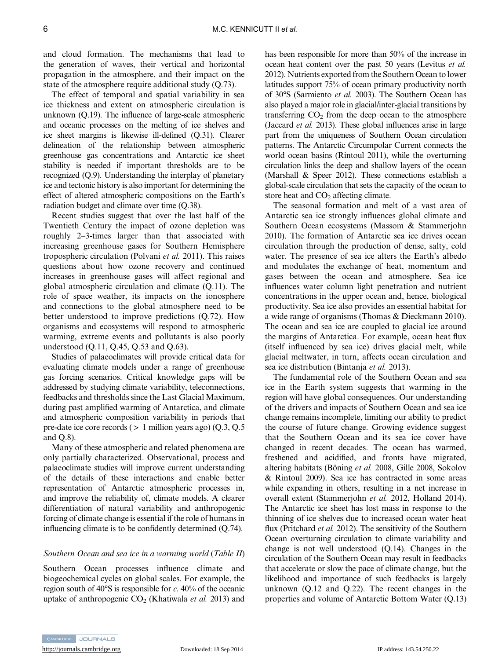and cloud formation. The mechanisms that lead to the generation of waves, their vertical and horizontal propagation in the atmosphere, and their impact on the state of the atmosphere require additional study (Q.73).

The effect of temporal and spatial variability in sea ice thickness and extent on atmospheric circulation is unknown (Q.19). The influence of large-scale atmospheric and oceanic processes on the melting of ice shelves and ice sheet margins is likewise ill-defined (Q.31). Clearer delineation of the relationship between atmospheric greenhouse gas concentrations and Antarctic ice sheet stability is needed if important thresholds are to be recognized (Q.9). Understanding the interplay of planetary ice and tectonic history is also important for determining the effect of altered atmospheric compositions on the Earth's radiation budget and climate over time (Q.38).

Recent studies suggest that over the last half of the Twentieth Century the impact of ozone depletion was roughly 2–3-times larger than that associated with increasing greenhouse gases for Southern Hemisphere tropospheric circulation (Polvani et al. [2011\)](#page-14-0). This raises questions about how ozone recovery and continued increases in greenhouse gases will affect regional and global atmospheric circulation and climate (Q.11). The role of space weather, its impacts on the ionosphere and connections to the global atmosphere need to be better understood to improve predictions (Q.72). How organisms and ecosystems will respond to atmospheric warming, extreme events and pollutants is also poorly understood (Q.11, Q.45, Q.53 and Q.63).

Studies of palaeoclimates will provide critical data for evaluating climate models under a range of greenhouse gas forcing scenarios. Critical knowledge gaps will be addressed by studying climate variability, teleconnections, feedbacks and thresholds since the Last Glacial Maximum, during past amplified warming of Antarctica, and climate and atmospheric composition variability in periods that pre-date ice core records ( $> 1$  million years ago) (Q.3, Q.5 and Q.8).

Many of these atmospheric and related phenomena are only partially characterized. Observational, process and palaeoclimate studies will improve current understanding of the details of these interactions and enable better representation of Antarctic atmospheric processes in, and improve the reliability of, climate models. A clearer differentiation of natural variability and anthropogenic forcing of climate change is essential if the role of humans in influencing climate is to be confidently determined (Q.74).

## Southern Ocean and sea ice in a warming world ([Table II](#page-4-0))

Southern Ocean processes influence climate and biogeochemical cycles on global scales. For example, the region south of 40 $\degree$ S is responsible for c. 40% of the oceanic uptake of anthropogenic  $CO<sub>2</sub>$  (Khatiwala *et al.* [2013\)](#page-14-0) and has been responsible for more than 50% of the increase in ocean heat content over the past 50 years (Levitus et al. [2012\)](#page-14-0). Nutrients exported from the Southern Ocean to lower latitudes support 75% of ocean primary productivity north of 30°S (Sarmiento et al. [2003\)](#page-15-0). The Southern Ocean has also played a major role in glacial/inter-glacial transitions by transferring  $CO<sub>2</sub>$  from the deep ocean to the atmosphere (Jaccard et al. [2013](#page-14-0)). These global influences arise in large part from the uniqueness of Southern Ocean circulation patterns. The Antarctic Circumpolar Current connects the world ocean basins (Rintoul [2011](#page-15-0)), while the overturning circulation links the deep and shallow layers of the ocean (Marshall & Speer [2012\)](#page-14-0). These connections establish a global-scale circulation that sets the capacity of the ocean to store heat and  $CO<sub>2</sub>$  affecting climate.

The seasonal formation and melt of a vast area of Antarctic sea ice strongly influences global climate and Southern Ocean ecosystems (Massom & Stammerjohn [2010](#page-14-0)). The formation of Antarctic sea ice drives ocean circulation through the production of dense, salty, cold water. The presence of sea ice alters the Earth's albedo and modulates the exchange of heat, momentum and gases between the ocean and atmosphere. Sea ice influences water column light penetration and nutrient concentrations in the upper ocean and, hence, biological productivity. Sea ice also provides an essential habitat for a wide range of organisms (Thomas & Dieckmann [2010](#page-15-0)). The ocean and sea ice are coupled to glacial ice around the margins of Antarctica. For example, ocean heat flux (itself influenced by sea ice) drives glacial melt, while glacial meltwater, in turn, affects ocean circulation and sea ice distribution (Bintanja et al. [2013](#page-13-0)).

The fundamental role of the Southern Ocean and sea ice in the Earth system suggests that warming in the region will have global consequences. Our understanding of the drivers and impacts of Southern Ocean and sea ice change remains incomplete, limiting our ability to predict the course of future change. Growing evidence suggest that the Southern Ocean and its sea ice cover have changed in recent decades. The ocean has warmed, freshened and acidified, and fronts have migrated, altering habitats (Böning et al. [2008,](#page-13-0) Gille [2008](#page-14-0), Sokolov & Rintoul [2009](#page-15-0)). Sea ice has contracted in some areas while expanding in others, resulting in a net increase in overall extent (Stammerjohn et al. [2012](#page-15-0), Holland [2014\)](#page-14-0). The Antarctic ice sheet has lost mass in response to the thinning of ice shelves due to increased ocean water heat flux (Pritchard et al. [2012](#page-14-0)). The sensitivity of the Southern Ocean overturning circulation to climate variability and change is not well understood (Q.14). Changes in the circulation of the Southern Ocean may result in feedbacks that accelerate or slow the pace of climate change, but the likelihood and importance of such feedbacks is largely unknown (Q.12 and Q.22). The recent changes in the properties and volume of Antarctic Bottom Water (Q.13)

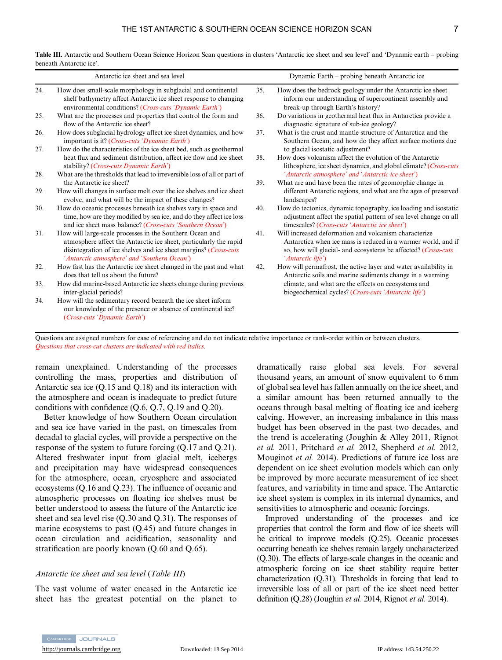<span id="page-6-0"></span>Table III. Antarctic and Southern Ocean Science Horizon Scan questions in clusters 'Antarctic ice sheet and sea level' and 'Dynamic earth – probing beneath Antarctic ice'.

|     | Antarctic ice sheet and sea level                                                                                                                                                                                                                 |                                  | Dynamic Earth – probing beneath Antarctic ice                                                                                                                                                                |  |                                                                                                             |
|-----|---------------------------------------------------------------------------------------------------------------------------------------------------------------------------------------------------------------------------------------------------|----------------------------------|--------------------------------------------------------------------------------------------------------------------------------------------------------------------------------------------------------------|--|-------------------------------------------------------------------------------------------------------------|
| 24. | How does small-scale morphology in subglacial and continental<br>shelf bathymetry affect Antarctic ice sheet response to changing<br>environmental conditions? (Cross-cuts 'Dynamic Earth')                                                       | 35.                              | How does the bedrock geology under the Antarctic ice sheet<br>inform our understanding of supercontinent assembly and<br>break-up through Earth's history?                                                   |  |                                                                                                             |
| 25. | What are the processes and properties that control the form and<br>flow of the Antarctic ice sheet?                                                                                                                                               | 36.                              | Do variations in geothermal heat flux in Antarctica provide a<br>diagnostic signature of sub-ice geology?                                                                                                    |  |                                                                                                             |
| 26. | How does subglacial hydrology affect ice sheet dynamics, and how<br>important is it? (Cross-cuts 'Dynamic Earth')                                                                                                                                 | 37.                              | What is the crust and mantle structure of Antarctica and the<br>Southern Ocean, and how do they affect surface motions due                                                                                   |  |                                                                                                             |
| 27. | How do the characteristics of the ice sheet bed, such as geothermal                                                                                                                                                                               | to glacial isostatic adjustment? |                                                                                                                                                                                                              |  |                                                                                                             |
|     | heat flux and sediment distribution, affect ice flow and ice sheet<br>stability? (Cross-cuts Dynamic Earth')                                                                                                                                      | 38.                              | How does volcanism affect the evolution of the Antarctic<br>lithosphere, ice sheet dynamics, and global climate? (Cross-cuts                                                                                 |  |                                                                                                             |
| 28. | What are the thresholds that lead to irreversible loss of all or part of                                                                                                                                                                          |                                  | 'Antarctic atmosphere' and 'Antarctic ice sheet')                                                                                                                                                            |  |                                                                                                             |
| 29. | the Antarctic ice sheet?<br>How will changes in surface melt over the ice shelves and ice sheet<br>evolve, and what will be the impact of these changes?                                                                                          | 39.                              | What are and have been the rates of geomorphic change in<br>different Antarctic regions, and what are the ages of preserved<br>landscapes?                                                                   |  |                                                                                                             |
| 30. | How do oceanic processes beneath ice shelves vary in space and<br>time, how are they modified by sea ice, and do they affect ice loss<br>and ice sheet mass balance? (Cross-cuts 'Southern Ocean')                                                | 40.                              | How do tectonics, dynamic topography, ice loading and isostatic<br>adjustment affect the spatial pattern of sea level change on all<br>timescales? (Cross-cuts 'Antarctic ice sheet')                        |  |                                                                                                             |
| 31. | How will large-scale processes in the Southern Ocean and<br>atmosphere affect the Antarctic ice sheet, particularly the rapid<br>disintegration of ice shelves and ice sheet margins? (Cross-cuts<br>'Antarctic atmosphere' and 'Southern Ocean') | 41.                              | Will increased deformation and volcanism characterize<br>Antarctica when ice mass is reduced in a warmer world, and if<br>so, how will glacial- and ecosystems be affected? (Cross-cuts<br>'Antarctic life') |  |                                                                                                             |
| 32. | How fast has the Antarctic ice sheet changed in the past and what<br>does that tell us about the future?                                                                                                                                          | 42.                              | How will permafrost, the active layer and water availability in<br>Antarctic soils and marine sediments change in a warming                                                                                  |  |                                                                                                             |
| 33. | How did marine-based Antarctic ice sheets change during previous<br>inter-glacial periods?                                                                                                                                                        |                                  |                                                                                                                                                                                                              |  | climate, and what are the effects on ecosystems and<br>biogeochemical cycles? (Cross-cuts 'Antarctic life') |
| 34. | How will the sedimentary record beneath the ice sheet inform<br>our knowledge of the presence or absence of continental ice?<br>(Cross-cuts 'Dynamic Earth')                                                                                      |                                  |                                                                                                                                                                                                              |  |                                                                                                             |

Questions are assigned numbers for ease of referencing and do not indicate relative importance or rank-order within or between clusters. Questions that cross-cut clusters are indicated with red italics.

remain unexplained. Understanding of the processes controlling the mass, properties and distribution of Antarctic sea ice (Q.15 and Q.18) and its interaction with the atmosphere and ocean is inadequate to predict future conditions with confidence (Q.6, Q.7, Q.19 and Q.20).

Better knowledge of how Southern Ocean circulation and sea ice have varied in the past, on timescales from decadal to glacial cycles, will provide a perspective on the response of the system to future forcing (Q.17 and Q.21). Altered freshwater input from glacial melt, icebergs and precipitation may have widespread consequences for the atmosphere, ocean, cryosphere and associated ecosystems (Q.16 and Q.23). The influence of oceanic and atmospheric processes on floating ice shelves must be better understood to assess the future of the Antarctic ice sheet and sea level rise (Q.30 and Q.31). The responses of marine ecosystems to past (Q.45) and future changes in ocean circulation and acidification, seasonality and stratification are poorly known (Q.60 and Q.65).

# Antarctic ice sheet and sea level (Table III)

The vast volume of water encased in the Antarctic ice sheet has the greatest potential on the planet to dramatically raise global sea levels. For several thousand years, an amount of snow equivalent to 6 mm of global sea level has fallen annually on the ice sheet, and a similar amount has been returned annually to the oceans through basal melting of floating ice and iceberg calving. However, an increasing imbalance in this mass budget has been observed in the past two decades, and the trend is accelerating (Joughin & Alley [2011](#page-14-0), Rignot et al. [2011](#page-15-0), Pritchard et al. [2012,](#page-14-0) Shepherd et al. [2012](#page-15-0), Mouginot et al. [2014\)](#page-14-0). Predictions of future ice loss are dependent on ice sheet evolution models which can only be improved by more accurate measurement of ice sheet features, and variability in time and space. The Antarctic ice sheet system is complex in its internal dynamics, and sensitivities to atmospheric and oceanic forcings.

Improved understanding of the processes and ice properties that control the form and flow of ice sheets will be critical to improve models (Q.25). Oceanic processes occurring beneath ice shelves remain largely uncharacterized (Q.30). The effects of large-scale changes in the oceanic and atmospheric forcing on ice sheet stability require better characterization (Q.31). Thresholds in forcing that lead to irreversible loss of all or part of the ice sheet need better definition (Q.28) (Joughin et al. [2014](#page-14-0), Rignot et al. [2014\)](#page-15-0).

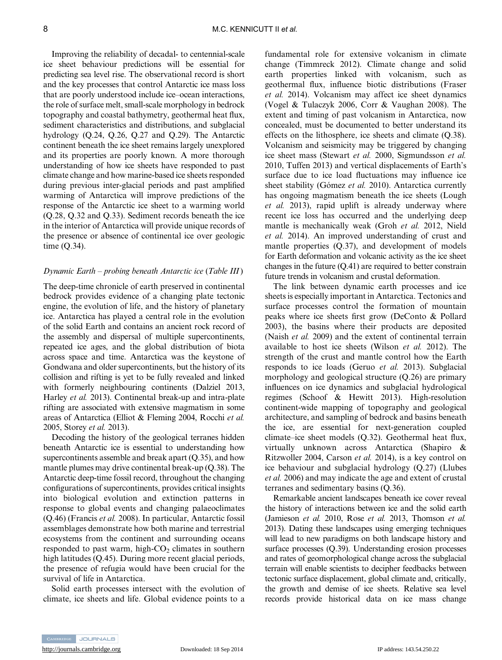Improving the reliability of decadal- to centennial-scale ice sheet behaviour predictions will be essential for predicting sea level rise. The observational record is short and the key processes that control Antarctic ice mass loss that are poorly understood include ice–ocean interactions, the role of surface melt, small-scale morphology in bedrock topography and coastal bathymetry, geothermal heat flux, sediment characteristics and distributions, and subglacial hydrology (Q.24, Q.26, Q.27 and Q.29). The Antarctic continent beneath the ice sheet remains largely unexplored and its properties are poorly known. A more thorough understanding of how ice sheets have responded to past climate change and how marine-based ice sheets responded during previous inter-glacial periods and past amplified warming of Antarctica will improve predictions of the response of the Antarctic ice sheet to a warming world (Q.28, Q.32 and Q.33). Sediment records beneath the ice in the interior of Antarctica will provide unique records of the presence or absence of continental ice over geologic time (Q.34).

## Dynamic Earth – probing beneath Antarctic ice ([Table III](#page-6-0))

The deep-time chronicle of earth preserved in continental bedrock provides evidence of a changing plate tectonic engine, the evolution of life, and the history of planetary ice. Antarctica has played a central role in the evolution of the solid Earth and contains an ancient rock record of the assembly and dispersal of multiple supercontinents, repeated ice ages, and the global distribution of biota across space and time. Antarctica was the keystone of Gondwana and older supercontinents, but the history of its collision and rifting is yet to be fully revealed and linked with formerly neighbouring continents (Dalziel [2013,](#page-13-0) Harley et al. [2013\)](#page-14-0). Continental break-up and intra-plate rifting are associated with extensive magmatism in some areas of Antarctica (Elliot & Fleming [2004](#page-13-0), Rocchi et al. [2005,](#page-15-0) Storey et al. [2013\)](#page-15-0).

Decoding the history of the geological terranes hidden beneath Antarctic ice is essential to understanding how supercontinents assemble and break apart (Q.35), and how mantle plumes may drive continental break-up (Q.38). The Antarctic deep-time fossil record, throughout the changing configurations of supercontinents, provides critical insights into biological evolution and extinction patterns in response to global events and changing palaeoclimates (Q.46) (Francis et al. [2008](#page-13-0)). In particular, Antarctic fossil assemblages demonstrate how both marine and terrestrial ecosystems from the continent and surrounding oceans responded to past warm, high- $CO<sub>2</sub>$  climates in southern high latitudes (Q.45). During more recent glacial periods, the presence of refugia would have been crucial for the survival of life in Antarctica.

Solid earth processes intersect with the evolution of climate, ice sheets and life. Global evidence points to a fundamental role for extensive volcanism in climate change (Timmreck [2012](#page-15-0)). Climate change and solid earth properties linked with volcanism, such as geothermal flux, influence biotic distributions (Fraser et al. [2014](#page-13-0)). Volcanism may affect ice sheet dynamics (Vogel & Tulaczyk [2006](#page-15-0), Corr & Vaughan [2008\)](#page-13-0). The extent and timing of past volcanism in Antarctica, now concealed, must be documented to better understand its effects on the lithosphere, ice sheets and climate (Q.38). Volcanism and seismicity may be triggered by changing ice sheet mass (Stewart et al. [2000,](#page-15-0) Sigmundsson et al. [2010](#page-15-0), Tuffen [2013](#page-15-0)) and vertical displacements of Earth's surface due to ice load fluctuations may influence ice sheet stability (Gómez et al. [2010](#page-14-0)). Antarctica currently has ongoing magmatism beneath the ice sheets (Lough et al. [2013\)](#page-14-0), rapid uplift is already underway where recent ice loss has occurred and the underlying deep mantle is mechanically weak (Groh et al. [2012,](#page-14-0) Nield et al. [2014](#page-14-0)). An improved understanding of crust and mantle properties (O.37), and development of models for Earth deformation and volcanic activity as the ice sheet changes in the future (Q.41) are required to better constrain future trends in volcanism and crustal deformation.

The link between dynamic earth processes and ice sheets is especially important in Antarctica. Tectonics and surface processes control the formation of mountain peaks where ice sheets first grow (DeConto & Pollard [2003](#page-13-0)), the basins where their products are deposited (Naish et al. [2009\)](#page-14-0) and the extent of continental terrain available to host ice sheets (Wilson et al. [2012](#page-15-0)). The strength of the crust and mantle control how the Earth responds to ice loads (Geruo et al. [2013\)](#page-14-0). Subglacial morphology and geological structure (Q.26) are primary influences on ice dynamics and subglacial hydrological regimes (Schoof & Hewitt [2013\)](#page-15-0). High-resolution continent-wide mapping of topography and geological architecture, and sampling of bedrock and basins beneath the ice, are essential for next-generation coupled climate–ice sheet models (Q.32). Geothermal heat flux, virtually unknown across Antarctica (Shapiro & Ritzwoller [2004](#page-15-0), Carson et al. [2014\)](#page-13-0), is a key control on ice behaviour and subglacial hydrology (Q.27) (Llubes et al. [2006\)](#page-14-0) and may indicate the age and extent of crustal terranes and sedimentary basins (Q.36).

Remarkable ancient landscapes beneath ice cover reveal the history of interactions between ice and the solid earth (Jamieson et al. [2010,](#page-14-0) Rose et al. [2013](#page-15-0), Thomson et al. 2013). Dating these landscapes using emerging techniques will lead to new paradigms on both landscape history and surface processes (Q.39). Understanding erosion processes and rates of geomorphological change across the subglacial terrain will enable scientists to decipher feedbacks between tectonic surface displacement, global climate and, critically, the growth and demise of ice sheets. Relative sea level records provide historical data on ice mass change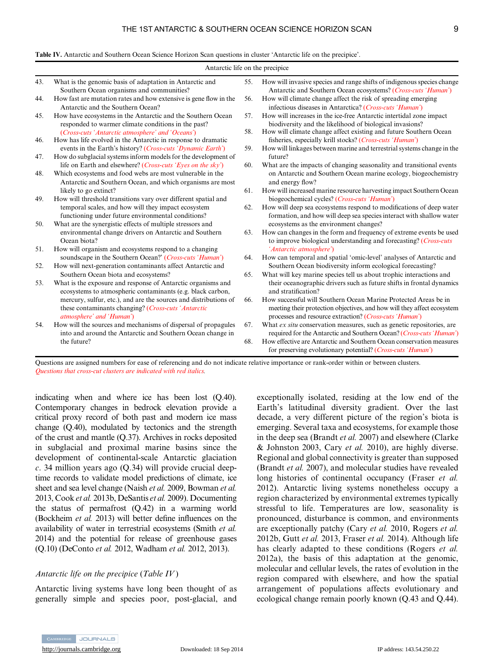| Table IV. Antarctic and Southern Ocean Science Horizon Scan questions in cluster 'Antarctic life on the precipice'. |  |  |  |
|---------------------------------------------------------------------------------------------------------------------|--|--|--|
|---------------------------------------------------------------------------------------------------------------------|--|--|--|

|     | Antarctic life on the precipice                                                                                                                                                        |     |                                                                                                                                                                                                       |  |
|-----|----------------------------------------------------------------------------------------------------------------------------------------------------------------------------------------|-----|-------------------------------------------------------------------------------------------------------------------------------------------------------------------------------------------------------|--|
| 43. | What is the genomic basis of adaptation in Antarctic and<br>Southern Ocean organisms and communities?                                                                                  | 55. | How will invasive species and range shifts of indigenous species change<br>Antarctic and Southern Ocean ecosystems? (Cross-cuts 'Human')                                                              |  |
| 44. | How fast are mutation rates and how extensive is gene flow in the<br>Antarctic and the Southern Ocean?                                                                                 | 56. | How will climate change affect the risk of spreading emerging<br>infectious diseases in Antarctica? (Cross-cuts 'Human')                                                                              |  |
| 45. | How have ecosystems in the Antarctic and the Southern Ocean<br>responded to warmer climate conditions in the past?                                                                     | 57. | How will increases in the ice-free Antarctic intertidal zone impact<br>biodiversity and the likelihood of biological invasions?                                                                       |  |
| 46. | (Cross-cuts 'Antarctic atmosphere' and 'Oceans')<br>How has life evolved in the Antarctic in response to dramatic                                                                      | 58. | How will climate change affect existing and future Southern Ocean<br>fisheries, especially krill stocks? (Cross-cuts 'Human')                                                                         |  |
| 47. | events in the Earth's history? (Cross-cuts 'Dynamic Earth')<br>How do subglacial systems inform models for the development of                                                          | 59. | How will linkages between marine and terrestrial systems change in the<br>future?                                                                                                                     |  |
| 48. | life on Earth and elsewhere? (Cross-cuts 'Eyes on the sky')<br>Which ecosystems and food webs are most vulnerable in the<br>Antarctic and Southern Ocean, and which organisms are most | 60. | What are the impacts of changing seasonality and transitional events<br>on Antarctic and Southern Ocean marine ecology, biogeochemistry<br>and energy flow?                                           |  |
|     | likely to go extinct?                                                                                                                                                                  | 61. | How will increased marine resource harvesting impact Southern Ocean                                                                                                                                   |  |
| 49. | How will threshold transitions vary over different spatial and<br>temporal scales, and how will they impact ecosystem<br>functioning under future environmental conditions?            | 62. | biogeochemical cycles? (Cross-cuts 'Human')<br>How will deep sea ecosystems respond to modifications of deep water<br>formation, and how will deep sea species interact with shallow water            |  |
| 50. | What are the synergistic effects of multiple stressors and<br>environmental change drivers on Antarctic and Southern<br>Ocean biota?                                                   | 63. | ecosystems as the environment changes?<br>How can changes in the form and frequency of extreme events be used<br>to improve biological understanding and forecasting? (Cross-cuts                     |  |
| 51. | How will organism and ecosystems respond to a changing                                                                                                                                 |     | 'Antarctic atmosphere')                                                                                                                                                                               |  |
| 52. | soundscape in the Southern Ocean?' (Cross-cuts 'Human')<br>How will next-generation contaminants affect Antarctic and                                                                  | 64. | How can temporal and spatial 'omic-level' analyses of Antarctic and<br>Southern Ocean biodiversity inform ecological forecasting?                                                                     |  |
| 53. | Southern Ocean biota and ecosystems?<br>What is the exposure and response of Antarctic organisms and<br>ecosystems to atmospheric contaminants (e.g. black carbon,                     | 65. | What will key marine species tell us about trophic interactions and<br>their oceanographic drivers such as future shifts in frontal dynamics<br>and stratification?                                   |  |
|     | mercury, sulfur, etc.), and are the sources and distributions of<br>these contaminants changing? (Cross-cuts 'Antarctic<br>atmosphere' and 'Human')                                    | 66. | How successful will Southern Ocean Marine Protected Areas be in<br>meeting their protection objectives, and how will they affect ecosystem<br>processes and resource extraction? (Cross-cuts 'Human') |  |
| 54. | How will the sources and mechanisms of dispersal of propagules<br>into and around the Antarctic and Southern Ocean change in                                                           | 67. | What ex situ conservation measures, such as genetic repositories, are<br>required for the Antarctic and Southern Ocean? (Cross-cuts 'Human')                                                          |  |
|     | the future?                                                                                                                                                                            | 68. | How effective are Antarctic and Southern Ocean conservation measures<br>for preserving evolutionary potential? (Cross-cuts 'Human')                                                                   |  |

Questions are assigned numbers for ease of referencing and do not indicate relative importance or rank-order within or between clusters. Questions that cross-cut clusters are indicated with red italics.

indicating when and where ice has been lost (Q.40). Contemporary changes in bedrock elevation provide a critical proxy record of both past and modern ice mass change (Q.40), modulated by tectonics and the strength of the crust and mantle (Q.37). Archives in rocks deposited in subglacial and proximal marine basins since the development of continental-scale Antarctic glaciation c. 34 million years ago (Q.34) will provide crucial deeptime records to validate model predictions of climate, ice sheet and sea level change (Naish et al. [2009,](#page-14-0) Bowman et al. 2013, Cook et al. 2013b, DeSantis et al. [2009\)](#page-13-0). Documenting the status of permafrost (Q.42) in a warming world (Bockheim et al. [2013\)](#page-13-0) will better define influences on the availability of water in terrestrial ecosystems (Smith et al. [2014](#page-15-0)) and the potential for release of greenhouse gases (Q.10) (DeConto et al. [2012](#page-13-0), Wadham et al. [2012](#page-15-0), [2013\)](#page-15-0).

### Antarctic life on the precipice  $(Table IV)$

Antarctic living systems have long been thought of as generally simple and species poor, post-glacial, and exceptionally isolated, residing at the low end of the Earth's latitudinal diversity gradient. Over the last decade, a very different picture of the region's biota is emerging. Several taxa and ecosystems, for example those in the deep sea (Brandt et al. [2007\)](#page-13-0) and elsewhere (Clarke & Johnston [2003](#page-13-0), Cary et al. [2010](#page-13-0)), are highly diverse. Regional and global connectivity is greater than supposed (Brandt et al. [2007\)](#page-13-0), and molecular studies have revealed long histories of continental occupancy (Fraser et al. [2012\)](#page-13-0). Antarctic living systems nonetheless occupy a region characterized by environmental extremes typically stressful to life. Temperatures are low, seasonality is pronounced, disturbance is common, and environments are exceptionally patchy (Cary et al. [2010,](#page-13-0) Rogers et al. [2012b](#page-15-0), Gutt et al. [2013](#page-14-0), Fraser et al. [2014\)](#page-13-0). Although life has clearly adapted to these conditions (Rogers et al. [2012a\)](#page-15-0), the basis of this adaptation at the genomic, molecular and cellular levels, the rates of evolution in the region compared with elsewhere, and how the spatial arrangement of populations affects evolutionary and ecological change remain poorly known (Q.43 and Q.44).

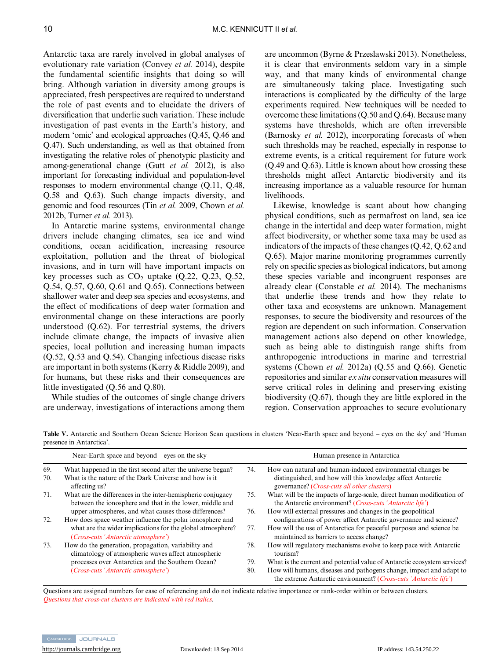<span id="page-9-0"></span>Antarctic taxa are rarely involved in global analyses of evolutionary rate variation (Convey et al. [2014](#page-13-0)), despite the fundamental scientific insights that doing so will bring. Although variation in diversity among groups is appreciated, fresh perspectives are required to understand the role of past events and to elucidate the drivers of diversification that underlie such variation. These include investigation of past events in the Earth's history, and modern 'omic' and ecological approaches (Q.45, Q.46 and Q.47). Such understanding, as well as that obtained from investigating the relative roles of phenotypic plasticity and among-generational change (Gutt et al. [2012](#page-14-0)), is also important for forecasting individual and population-level responses to modern environmental change (Q.11, Q.48, Q.58 and Q.63). Such change impacts diversity, and genomic and food resources (Tin et al. [2009,](#page-15-0) Chown et al. [2012b,](#page-13-0) Turner et al. [2013](#page-15-0)).

In Antarctic marine systems, environmental change drivers include changing climates, sea ice and wind conditions, ocean acidification, increasing resource exploitation, pollution and the threat of biological invasions, and in turn will have important impacts on key processes such as  $CO<sub>2</sub>$  uptake  $(Q.22, Q.23, Q.52, Q.52)$ Q.54, Q.57, Q.60, Q.61 and Q.65). Connections between shallower water and deep sea species and ecosystems, and the effect of modifications of deep water formation and environmental change on these interactions are poorly understood (Q.62). For terrestrial systems, the drivers include climate change, the impacts of invasive alien species, local pollution and increasing human impacts (Q.52, Q.53 and Q.54). Changing infectious disease risks are important in both systems (Kerry & Riddle [2009\)](#page-14-0), and for humans, but these risks and their consequences are little investigated (Q.56 and Q.80).

While studies of the outcomes of single change drivers are underway, investigations of interactions among them are uncommon (Byrne & Przeslawski [2013\)](#page-13-0). Nonetheless, it is clear that environments seldom vary in a simple way, and that many kinds of environmental change are simultaneously taking place. Investigating such interactions is complicated by the difficulty of the large experiments required. New techniques will be needed to overcome these limitations (Q.50 and Q.64). Because many systems have thresholds, which are often irreversible (Barnosky et al. [2012](#page-13-0)), incorporating forecasts of when such thresholds may be reached, especially in response to extreme events, is a critical requirement for future work (Q.49 and Q.63). Little is known about how crossing these thresholds might affect Antarctic biodiversity and its increasing importance as a valuable resource for human livelihoods.

Likewise, knowledge is scant about how changing physical conditions, such as permafrost on land, sea ice change in the intertidal and deep water formation, might affect biodiversity, or whether some taxa may be used as indicators of the impacts of these changes (Q.42, Q.62 and Q.65). Major marine monitoring programmes currently rely on specific species as biological indicators, but among these species variable and incongruent responses are already clear (Constable et al. [2014](#page-13-0)). The mechanisms that underlie these trends and how they relate to other taxa and ecosystems are unknown. Management responses, to secure the biodiversity and resources of the region are dependent on such information. Conservation management actions also depend on other knowledge, such as being able to distinguish range shifts from anthropogenic introductions in marine and terrestrial systems (Chown et al. [2012a](#page-13-0)) (Q.55 and Q.66). Genetic repositories and similar ex situ conservation measures will serve critical roles in defining and preserving existing biodiversity (Q.67), though they are little explored in the region. Conservation approaches to secure evolutionary

Table V. Antarctic and Southern Ocean Science Horizon Scan questions in clusters 'Near-Earth space and beyond – eyes on the sky' and 'Human presence in Antarctica'.

|     | Near-Earth space and beyond $-$ eyes on the sky                                                                         |     | Human presence in Antarctica                                                                                                            |
|-----|-------------------------------------------------------------------------------------------------------------------------|-----|-----------------------------------------------------------------------------------------------------------------------------------------|
| 69. | What happened in the first second after the universe began?                                                             | 74. | How can natural and human-induced environmental changes be                                                                              |
| 70. | What is the nature of the Dark Universe and how is it<br>affecting us?                                                  |     | distinguished, and how will this knowledge affect Antarctic<br>governance? ( <i>Cross-cuts all other clusters</i> )                     |
| 71. | What are the differences in the inter-hemispheric conjugacy<br>between the ionosphere and that in the lower, middle and | 75. | What will be the impacts of large-scale, direct human modification of<br>the Antarctic environment? (Cross-cuts 'Antarctic life')       |
|     | upper atmospheres, and what causes those differences?                                                                   | 76. | How will external pressures and changes in the geopolitical                                                                             |
| 72. | How does space weather influence the polar ionosphere and                                                               |     | configurations of power affect Antarctic governance and science?                                                                        |
|     | what are the wider implications for the global atmosphere?<br>(Cross-cuts 'Antarctic atmosphere')                       | 77. | How will the use of Antarctica for peaceful purposes and science be<br>maintained as barriers to access change?                         |
| 73. | How do the generation, propagation, variability and<br>climatology of atmospheric waves affect atmospheric              | 78. | How will regulatory mechanisms evolve to keep pace with Antarctic<br>tourism?                                                           |
|     | processes over Antarctica and the Southern Ocean?                                                                       | 79. | What is the current and potential value of Antarctic ecosystem services?                                                                |
|     | (Cross-cuts 'Antarctic atmosphere')                                                                                     | 80. | How will humans, diseases and pathogens change, impact and adapt to<br>the extreme Antarctic environment? (Cross-cuts 'Antarctic life') |

Questions are assigned numbers for ease of referencing and do not indicate relative importance or rank-order within or between clusters. Questions that cross-cut clusters are indicated with red italics.

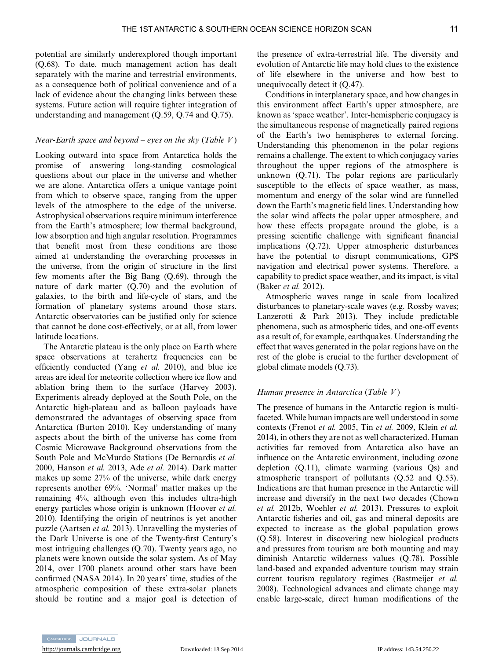potential are similarly underexplored though important (Q.68). To date, much management action has dealt separately with the marine and terrestrial environments, as a consequence both of political convenience and of a lack of evidence about the changing links between these systems. Future action will require tighter integration of understanding and management (Q.59, Q.74 and Q.75).

# Near-Earth space and beyond – eyes on the sky ([Table V](#page-9-0))

Looking outward into space from Antarctica holds the promise of answering long-standing cosmological questions about our place in the universe and whether we are alone. Antarctica offers a unique vantage point from which to observe space, ranging from the upper levels of the atmosphere to the edge of the universe. Astrophysical observations require minimum interference from the Earth's atmosphere; low thermal background, low absorption and high angular resolution. Programmes that benefit most from these conditions are those aimed at understanding the overarching processes in the universe, from the origin of structure in the first few moments after the Big Bang (Q.69), through the nature of dark matter (Q.70) and the evolution of galaxies, to the birth and life-cycle of stars, and the formation of planetary systems around those stars. Antarctic observatories can be justified only for science that cannot be done cost-effectively, or at all, from lower latitude locations.

The Antarctic plateau is the only place on Earth where space observations at terahertz frequencies can be efficiently conducted (Yang et al. [2010](#page-15-0)), and blue ice areas are ideal for meteorite collection where ice flow and ablation bring them to the surface (Harvey [2003\)](#page-14-0). Experiments already deployed at the South Pole, on the Antarctic high-plateau and as balloon payloads have demonstrated the advantages of observing space from Antarctica (Burton [2010](#page-13-0)). Key understanding of many aspects about the birth of the universe has come from Cosmic Microwave Background observations from the South Pole and McMurdo Stations (De Bernardis et al. [2000,](#page-13-0) Hanson et al. [2013](#page-14-0), Ade et al. [2014\)](#page-13-0). Dark matter makes up some 27% of the universe, while dark energy represents another 69%. 'Normal' matter makes up the remaining 4%, although even this includes ultra-high energy particles whose origin is unknown (Hoover *et al.*) [2010\)](#page-14-0). Identifying the origin of neutrinos is yet another puzzle (Aartsen et al. [2013](#page-13-0)). Unravelling the mysteries of the Dark Universe is one of the Twenty-first Century's most intriguing challenges (Q.70). Twenty years ago, no planets were known outside the solar system. As of May 2014, over 1700 planets around other stars have been confirmed (NASA 2014). In 20 years' time, studies of the atmospheric composition of these extra-solar planets should be routine and a major goal is detection of the presence of extra-terrestrial life. The diversity and evolution of Antarctic life may hold clues to the existence of life elsewhere in the universe and how best to unequivocally detect it (Q.47).

Conditions in interplanetary space, and how changes in this environment affect Earth's upper atmosphere, are known as 'space weather'. Inter-hemispheric conjugacy is the simultaneous response of magnetically paired regions of the Earth's two hemispheres to external forcing. Understanding this phenomenon in the polar regions remains a challenge. The extent to which conjugacy varies throughout the upper regions of the atmosphere is unknown (Q.71). The polar regions are particularly susceptible to the effects of space weather, as mass, momentum and energy of the solar wind are funnelled down the Earth's magnetic field lines. Understanding how the solar wind affects the polar upper atmosphere, and how these effects propagate around the globe, is a pressing scientific challenge with significant financial implications (Q.72). Upper atmospheric disturbances have the potential to disrupt communications, GPS navigation and electrical power systems. Therefore, a capability to predict space weather, and its impact, is vital (Baker et al. [2012](#page-13-0)).

Atmospheric waves range in scale from localized disturbances to planetary-scale waves (e.g. Rossby waves; Lanzerotti & Park [2013](#page-14-0)). They include predictable phenomena, such as atmospheric tides, and one-off events as a result of, for example, earthquakes. Understanding the effect that waves generated in the polar regions have on the rest of the globe is crucial to the further development of global climate models (Q.73).

# Human presence in Antarctica (Table  $V$ )

The presence of humans in the Antarctic region is multifaceted. While human impacts are well understood in some contexts (Frenot et al. [2005](#page-14-0), Tin et al. [2009](#page-15-0), Klein et al. [2014\)](#page-14-0), in others they are not as well characterized. Human activities far removed from Antarctica also have an influence on the Antarctic environment, including ozone depletion (Q.11), climate warming (various Qs) and atmospheric transport of pollutants (Q.52 and Q.53). Indications are that human presence in the Antarctic will increase and diversify in the next two decades (Chown et al. [2012b](#page-13-0), Woehler et al. [2013](#page-15-0)). Pressures to exploit Antarctic fisheries and oil, gas and mineral deposits are expected to increase as the global population grows (Q.58). Interest in discovering new biological products and pressures from tourism are both mounting and may diminish Antarctic wilderness values (Q.78). Possible land-based and expanded adventure tourism may strain current tourism regulatory regimes (Bastmeijer et al. [2008\)](#page-13-0). Technological advances and climate change may enable large-scale, direct human modifications of the

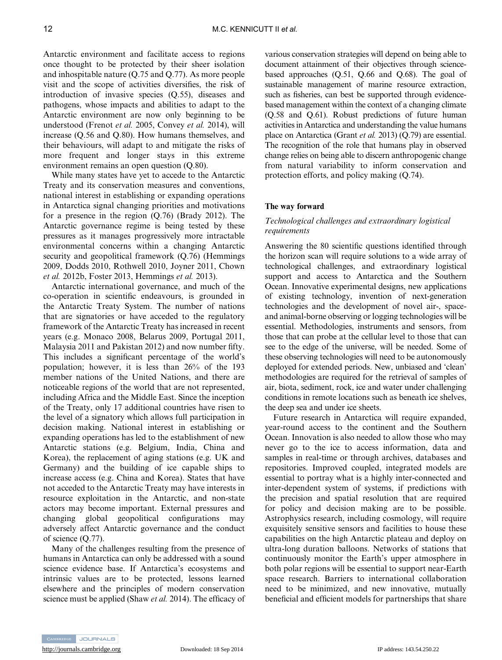Antarctic environment and facilitate access to regions once thought to be protected by their sheer isolation and inhospitable nature (Q.75 and Q.77). As more people visit and the scope of activities diversifies, the risk of introduction of invasive species (Q.55), diseases and pathogens, whose impacts and abilities to adapt to the Antarctic environment are now only beginning to be understood (Frenot et al. [2005,](#page-14-0) Convey et al. [2014](#page-13-0)), will increase (Q.56 and Q.80). How humans themselves, and their behaviours, will adapt to and mitigate the risks of more frequent and longer stays in this extreme environment remains an open question (Q.80).

While many states have yet to accede to the Antarctic Treaty and its conservation measures and conventions, national interest in establishing or expanding operations in Antarctica signal changing priorities and motivations for a presence in the region (Q.76) (Brady [2012\)](#page-13-0). The Antarctic governance regime is being tested by these pressures as it manages progressively more intractable environmental concerns within a changing Antarctic security and geopolitical framework (Q.76) (Hemmings [2009](#page-14-0), Dodds [2010,](#page-13-0) Rothwell [2010](#page-15-0), Joyner [2011,](#page-14-0) Chown et al. [2012b](#page-13-0), Foster [2013](#page-13-0), Hemmings et al. [2013\)](#page-14-0).

Antarctic international governance, and much of the co-operation in scientific endeavours, is grounded in the Antarctic Treaty System. The number of nations that are signatories or have acceded to the regulatory framework of the Antarctic Treaty has increased in recent years (e.g. Monaco 2008, Belarus 2009, Portugal 2011, Malaysia 2011 and Pakistan 2012) and now number fifty. This includes a significant percentage of the world's population; however, it is less than 26% of the 193 member nations of the United Nations, and there are noticeable regions of the world that are not represented, including Africa and the Middle East. Since the inception of the Treaty, only 17 additional countries have risen to the level of a signatory which allows full participation in decision making. National interest in establishing or expanding operations has led to the establishment of new Antarctic stations (e.g. Belgium, India, China and Korea), the replacement of aging stations (e.g. UK and Germany) and the building of ice capable ships to increase access (e.g. China and Korea). States that have not acceded to the Antarctic Treaty may have interests in resource exploitation in the Antarctic, and non-state actors may become important. External pressures and changing global geopolitical configurations may adversely affect Antarctic governance and the conduct of science (Q.77).

Many of the challenges resulting from the presence of humans in Antarctica can only be addressed with a sound science evidence base. If Antarctica's ecosystems and intrinsic values are to be protected, lessons learned elsewhere and the principles of modern conservation science must be applied (Shaw et al. [2014](#page-15-0)). The efficacy of various conservation strategies will depend on being able to document attainment of their objectives through sciencebased approaches (Q.51, Q.66 and Q.68). The goal of sustainable management of marine resource extraction, such as fisheries, can best be supported through evidencebased management within the context of a changing climate (Q.58 and Q.61). Robust predictions of future human activities in Antarctica and understanding the value humans place on Antarctica (Grant et al. [2013](#page-14-0)) (Q.79) are essential. The recognition of the role that humans play in observed change relies on being able to discern anthropogenic change from natural variability to inform conservation and protection efforts, and policy making (Q.74).

# The way forward

# Technological challenges and extraordinary logistical requirements

Answering the 80 scientific questions identified through the horizon scan will require solutions to a wide array of technological challenges, and extraordinary logistical support and access to Antarctica and the Southern Ocean. Innovative experimental designs, new applications of existing technology, invention of next-generation technologies and the development of novel air-, spaceand animal-borne observing or logging technologies will be essential. Methodologies, instruments and sensors, from those that can probe at the cellular level to those that can see to the edge of the universe, will be needed. Some of these observing technologies will need to be autonomously deployed for extended periods. New, unbiased and 'clean' methodologies are required for the retrieval of samples of air, biota, sediment, rock, ice and water under challenging conditions in remote locations such as beneath ice shelves, the deep sea and under ice sheets.

Future research in Antarctica will require expanded, year-round access to the continent and the Southern Ocean. Innovation is also needed to allow those who may never go to the ice to access information, data and samples in real-time or through archives, databases and repositories. Improved coupled, integrated models are essential to portray what is a highly inter-connected and inter-dependent system of systems, if predictions with the precision and spatial resolution that are required for policy and decision making are to be possible. Astrophysics research, including cosmology, will require exquisitely sensitive sensors and facilities to house these capabilities on the high Antarctic plateau and deploy on ultra-long duration balloons. Networks of stations that continuously monitor the Earth's upper atmosphere in both polar regions will be essential to support near-Earth space research. Barriers to international collaboration need to be minimized, and new innovative, mutually beneficial and efficient models for partnerships that share



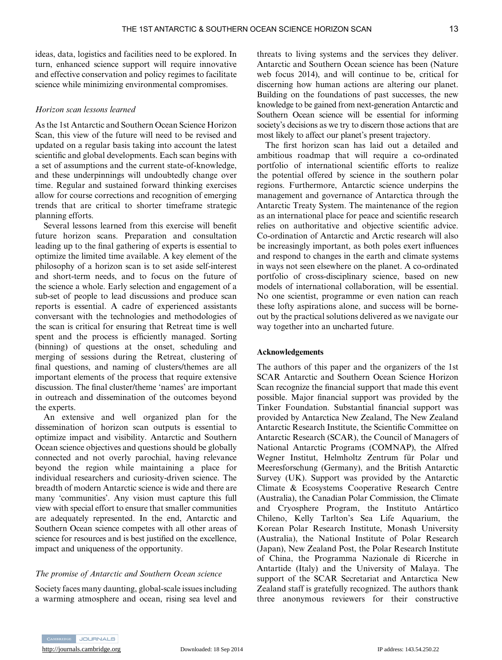ideas, data, logistics and facilities need to be explored. In turn, enhanced science support will require innovative and effective conservation and policy regimes to facilitate science while minimizing environmental compromises.

# Horizon scan lessons learned

As the 1st Antarctic and Southern Ocean Science Horizon Scan, this view of the future will need to be revised and updated on a regular basis taking into account the latest scientific and global developments. Each scan begins with a set of assumptions and the current state-of-knowledge, and these underpinnings will undoubtedly change over time. Regular and sustained forward thinking exercises allow for course corrections and recognition of emerging trends that are critical to shorter timeframe strategic planning efforts.

Several lessons learned from this exercise will benefit future horizon scans. Preparation and consultation leading up to the final gathering of experts is essential to optimize the limited time available. A key element of the philosophy of a horizon scan is to set aside self-interest and short-term needs, and to focus on the future of the science a whole. Early selection and engagement of a sub-set of people to lead discussions and produce scan reports is essential. A cadre of experienced assistants conversant with the technologies and methodologies of the scan is critical for ensuring that Retreat time is well spent and the process is efficiently managed. Sorting (binning) of questions at the onset, scheduling and merging of sessions during the Retreat, clustering of final questions, and naming of clusters/themes are all important elements of the process that require extensive discussion. The final cluster/theme 'names' are important in outreach and dissemination of the outcomes beyond the experts.

An extensive and well organized plan for the dissemination of horizon scan outputs is essential to optimize impact and visibility. Antarctic and Southern Ocean science objectives and questions should be globally connected and not overly parochial, having relevance beyond the region while maintaining a place for individual researchers and curiosity-driven science. The breadth of modern Antarctic science is wide and there are many 'communities'. Any vision must capture this full view with special effort to ensure that smaller communities are adequately represented. In the end, Antarctic and Southern Ocean science competes with all other areas of science for resources and is best justified on the excellence, impact and uniqueness of the opportunity.

# The promise of Antarctic and Southern Ocean science

Society faces many daunting, global-scale issues including a warming atmosphere and ocean, rising sea level and threats to living systems and the services they deliver. Antarctic and Southern Ocean science has been (Nature web focus 2014), and will continue to be, critical for discerning how human actions are altering our planet. Building on the foundations of past successes, the new knowledge to be gained from next-generation Antarctic and Southern Ocean science will be essential for informing society's decisions as we try to discern those actions that are most likely to affect our planet's present trajectory.

The first horizon scan has laid out a detailed and ambitious roadmap that will require a co-ordinated portfolio of international scientific efforts to realize the potential offered by science in the southern polar regions. Furthermore, Antarctic science underpins the management and governance of Antarctica through the Antarctic Treaty System. The maintenance of the region as an international place for peace and scientific research relies on authoritative and objective scientific advice. Co-ordination of Antarctic and Arctic research will also be increasingly important, as both poles exert influences and respond to changes in the earth and climate systems in ways not seen elsewhere on the planet. A co-ordinated portfolio of cross-disciplinary science, based on new models of international collaboration, will be essential. No one scientist, programme or even nation can reach these lofty aspirations alone, and success will be borneout by the practical solutions delivered as we navigate our way together into an uncharted future.

# Acknowledgements

The authors of this paper and the organizers of the 1st SCAR Antarctic and Southern Ocean Science Horizon Scan recognize the financial support that made this event possible. Major financial support was provided by the Tinker Foundation. Substantial financial support was provided by Antarctica New Zealand, The New Zealand Antarctic Research Institute, the Scientific Committee on Antarctic Research (SCAR), the Council of Managers of National Antarctic Programs (COMNAP), the Alfred Wegner Institut, Helmholtz Zentrum für Polar und Meeresforschung (Germany), and the British Antarctic Survey (UK). Support was provided by the Antarctic Climate & Ecosystems Cooperative Research Centre (Australia), the Canadian Polar Commission, the Climate and Cryosphere Program, the Instituto Antártico Chileno, Kelly Tarlton's Sea Life Aquarium, the Korean Polar Research Institute, Monash University (Australia), the National Institute of Polar Research (Japan), New Zealand Post, the Polar Research Institute of China, the Programma Nazionale di Ricerche in Antartide (Italy) and the University of Malaya. The support of the SCAR Secretariat and Antarctica New Zealand staff is gratefully recognized. The authors thank three anonymous reviewers for their constructive

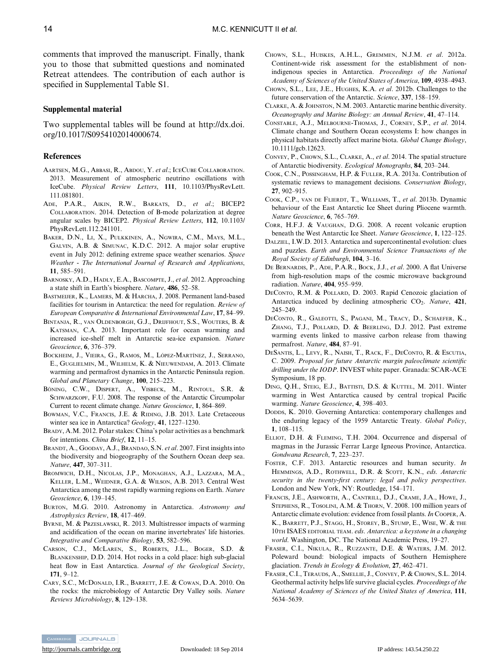<span id="page-13-0"></span>comments that improved the manuscript. Finally, thank you to those that submitted questions and nominated Retreat attendees. The contribution of each author is specified in Supplemental Table S1.

#### Supplemental material

Two supplemental tables will be found at [http://dx.doi.](http://dx.doi.org/10.1017/S0954102014000674) [org/10.1017/S0954102014000674.](http://dx.doi.org/10.1017/S0954102014000674)

## **References**

- AARTSEN, M.G., ABBASI, R., ABDOU, Y. et al.; ICECUBE COLLABORATION. 2013. Measurement of atmospheric neutrino oscillations with IceCube. Physical Review Letters, 111, 10.1103/PhysRevLett. 111.081801.
- ADE, P.A.R., AIKIN, R.W., BARKATS, D., et al.; BICEP2 COLLABORATION. 2014. Detection of B-mode polarization at degree angular scales by BICEP2. Physical Review Letters, 112, 10.1103/ PhysRevLett.112.241101.
- BAKER, D.N., LI, X., PULKKINEN, A., NGWIRA, C.M., MAYS, M.L., GALVIN, A.B. & SIMUNAC, K.D.C. 2012. A major solar eruptive event in July 2012: defining extreme space weather scenarios. Space Weather - The International Journal of Research and Applications, 11, 585–591.
- BARNOSKY, A.D., HADLY, E.A., BASCOMPTE, J., et al. 2012. Approaching a state shift in Earth's biosphere. Nature, 486, 52–58.
- BASTMEIJER, K., LAMERS, M. & HARCHA, J. 2008. Permanent land-based facilities for tourism in Antarctica: the need for regulation. Review of European Comparative & International Environmental Law, 17, 84–99.
- BINTANJA, R., VAN OLDENBORGH, G.J., DRIJFHOUT, S.S., WOUTERS, B. & KATSMAN, C.A. 2013. Important role for ocean warming and increased ice-shelf melt in Antarctic sea-ice expansion. Nature Geoscience, 6, 376–379.
- BOCKHEIM, J., VIEIRA, G., RAMOS, M., LÓPEZ-MARTÍNEZ, J., SERRANO, E., GUGLIELMIN, M., WILHELM, K. & NIEUWENDAM, A. 2013. Climate warming and permafrost dynamics in the Antarctic Peninsula region. Global and Planetary Change, 100, 215–223.
- BÖNING, C.W., DISPERT, A., VISBECK, M., RINTOUL, S.R. & SCHWARZKOPF, F.U. 2008. The response of the Antarctic Circumpolar Current to recent climate change. Nature Geoscience, 1, 864–869.
- BOWMAN, V.C., FRANCIS, J.E. & RIDING, J.B. 2013. Late Cretaceous winter sea ice in Antarctica? Geology, 41, 1227–1230.
- BRADY, A.M. 2012. Polar stakes: China's polar activities as a benchmark for intentions. China Brief, 12, 11–15.
- BRANDT, A., GOODAY, A.J., BRANDAO, S.N. et al. 2007. First insights into the biodiversity and biogeography of the Southern Ocean deep sea. Nature, 447, 307–311.
- BROMWICH, D.H., NICOLAS, J.P., MONAGHAN, A.J., LAZZARA, M.A., KELLER, L.M., WEIDNER, G.A. & WILSON, A.B. 2013. Central West Antarctica among the most rapidly warming regions on Earth. Nature Geoscience, 6, 139–145.
- BURTON, M.G. 2010. Astronomy in Antarctica. Astronomy and Astrophysics Review, 18, 417–469.
- BYRNE, M. & PRZESLAWSKI, R. 2013. Multistressor impacts of warming and acidification of the ocean on marine invertebrates' life histories. Integrative and Comparative Biology, 53, 582–596.
- CARSON, C.J., MCLAREN, S., ROBERTS, J.L., BOGER, S.D. & BLANKENSHIP, D.D. 2014. Hot rocks in a cold place: high sub-glacial heat flow in East Antarctica. Journal of the Geological Society, 171, 9–12.
- CARY, S.C., MCDONALD, I.R., BARRETT, J.E. & COWAN, D.A. 2010. On the rocks: the microbiology of Antarctic Dry Valley soils. Nature Reviews Microbiology, 8, 129–138.
- CHOWN, S.L., HUISKES, A.H.L., GREMMEN, N.J.M. et al. 2012a. Continent-wide risk assessment for the establishment of nonindigenous species in Antarctica. Proceedings of the National Academy of Sciences of the United States of America, 109, 4938–4943.
- CHOWN, S.L., LEE, J.E., HUGHES, K.A. et al. 2012b. Challenges to the future conservation of the Antarctic. Science, 337, 158–159.
- CLARKE, A. & JOHNSTON, N.M. 2003. Antarctic marine benthic diversity. Oceanography and Marine Biology: an Annual Review, 41, 47–114.
- CONSTABLE, A.J., MELBOURNE-THOMAS, J., CORNEY, S.P., et al. 2014. Climate change and Southern Ocean ecosystems I: how changes in physical habitats directly affect marine biota. Global Change Biology, 10.1111/gcb.12623.
- CONVEY, P., CHOWN, S.L., CLARKE, A., et al. 2014. The spatial structure of Antarctic biodiversity. Ecological Monographs, 84, 203–244.
- COOK, C.N., POSSINGHAM, H.P. & FULLER, R.A. 2013a. Contribution of systematic reviews to management decisions. Conservation Biology, 27, 902–915.
- COOK, C.P., VAN DE FLIERDT, T., WILLIAMS, T., et al. 2013b. Dynamic behaviour of the East Antarctic Ice Sheet during Pliocene warmth. Nature Geoscience, 6, 765–769.
- CORR, H.F.J. & VAUGHAN, D.G. 2008. A recent volcanic eruption beneath the West Antarctic Ice Sheet. Nature Geoscience, 1, 122–125.
- DALZIEL, I.W.D. 2013. Antarctica and supercontinental evolution: clues and puzzles. Earth and Environmental Science Transactions of the Royal Society of Edinburgh, 104, 3–16.
- DE BERNARDIS, P., ADE, P.A.R., BOCK, J.J., et al. 2000. A flat Universe from high-resolution maps of the cosmic microwave background radiation. Nature, 404, 955–959.
- DECONTO, R.M. & POLLARD, D. 2003. Rapid Cenozoic glaciation of Antarctica induced by declining atmospheric  $CO<sub>2</sub>$ . Nature, 421, 245–249.
- DECONTO, R., GALEOTTI, S., PAGANI, M., TRACY, D., SCHAEFER, K., ZHANG, T.J., POLLARD, D. & BEERLING, D.J. 2012. Past extreme warming events linked to massive carbon release from thawing permafrost. Nature, 484, 87–91.
- DESANTIS, L., LEVY, R., NAISH, T., RACK, F., DECONTO, R. & ESCUTIA, C. 2009. Proposal for future Antarctic margin paleoclimate scientific drilling under the IODP. INVEST white paper. Granada: SCAR-ACE Symposium, 18 pp.
- DING, Q.H., STEIG, E.J., BATTISTI, D.S. & KUTTEL, M. 2011. Winter warming in West Antarctica caused by central tropical Pacific warming. Nature Geoscience, 4, 398–403.
- DODDS, K. 2010. Governing Antarctica: contemporary challenges and the enduring legacy of the 1959 Antarctic Treaty. Global Policy, 1, 108–115.
- ELLIOT, D.H. & FLEMING, T.H. 2004. Occurrence and dispersal of magmas in the Jurassic Ferrar Large Igneous Province, Antarctica. Gondwana Research, 7, 223–237.
- FOSTER, C.F. 2013. Antarctic resources and human security. In HEMMINGS, A.D., ROTHWELL, D.R. & SCOTT, K.N., eds. Antarctic security in the twenty-first century: legal and policy perspectives. London and New York, NY: Routledge, 154–171.
- FRANCIS, J.E., ASHWORTH, A., CANTRILL, D.J., CRAME, J.A., HOWE, J., STEPHENS, R., TOSOLINI, A.M. & THORN, V. 2008. 100 million years of Antarctic climate evolution: evidence from fossil plants. In Cooper, A. K., BARRETT, P.J., STAGG, H., STOREY, B., STUMP, E., WISE, W. & THE 10TH ISAES EDITORIAL TEAM. eds. Antarctica: a keystone in a changing world. Washington, DC. The National Academic Press, 19–27.
- FRASER, C.I., NIKULA, R., RUZZANTE, D.E. & WATERS, J.M. 2012. Poleward bound: biological impacts of Southern Hemisphere glaciation. Trends in Ecology & Evolution, 27, 462–471.
- FRASER, C.I., TERAUDS, A., SMELLIE, J., CONVEY, P. & CHOWN, S.L. 2014. Geothermal activity helps life survive glacial cycles. Proceedings of the National Academy of Sciences of the United States of America, 111, 5634–5639.



<http://journals.cambridge.org> Downloaded: 18 Sep 2014 IP address: 143.54.250.22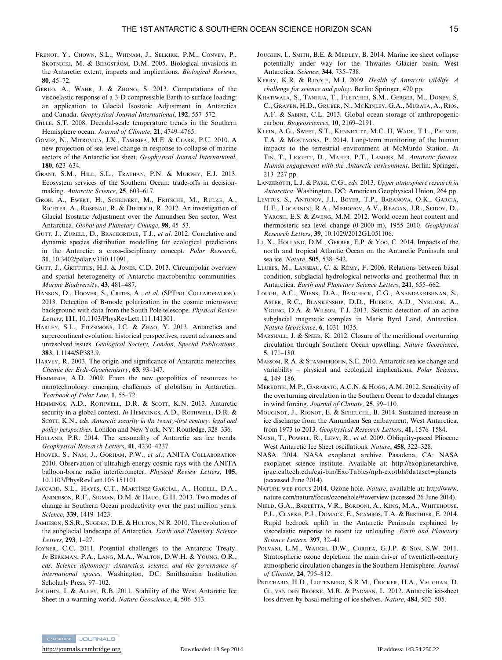- <span id="page-14-0"></span>FRENOT, Y., CHOWN, S.L., WHINAM, J., SELKIRK, P.M., CONVEY, P., SKOTNICKI, M. & BERGSTROM, D.M. 2005. Biological invasions in the Antarctic: extent, impacts and implications. Biological Reviews, 80, 45–72.
- GERUO, A., WAHR, J. & ZHONG, S. 2013. Computations of the viscoelastic response of a 3-D compressible Earth to surface loading: an application to Glacial Isostatic Adjustment in Antarctica and Canada. Geophysical Journal International, 192, 557–572.
- GILLE, S.T. 2008. Decadal-scale temperature trends in the Southern Hemisphere ocean. Journal of Climate, 21, 4749-4765.
- GÓMEZ, N., MITROVICA, J.X., TAMISIEA, M.E. & CLARK, P.U. 2010. A new projection of sea level change in response to collapse of marine sectors of the Antarctic ice sheet. Geophysical Journal International, 180, 623–634.
- GRANT, S.M., HILL, S.L., TRATHAN, P.N. & MURPHY, E.J. 2013. Ecosystem services of the Southern Ocean: trade-offs in decisionmaking. Antarctic Science, 25, 603-617.
- GROH, A., EWERT, H., SCHEINERT, M., FRITSCHE, M., RÜLKE, A., RICHTER, A., ROSENAU, R. & DIETRICH, R. 2012. An investigation of Glacial Isostatic Adjustment over the Amundsen Sea sector, West Antarctica. Global and Planetary Change, 98, 45–53.
- GUTT, J., ZURELL, D., BRACEGRIDLE, T.J., et al. 2012. Correlative and dynamic species distribution modelling for ecological predictions in the Antarctic: a cross-disciplinary concept. Polar Research, 31, 10.3402/polar.v31i0.11091.
- GUTT, J., GRIFFITHS, H.J. & JONES, C.D. 2013. Circumpolar overview and spatial heterogeneity of Antarctic macrobenthic communities. Marine Biodiversity, 43, 481–487.
- HANSON, D., HOOVER, S., CRITES, A., et al. (SPTPOL COLLABORATION). 2013. Detection of B-mode polarization in the cosmic microwave background with data from the South Pole telescope. Physical Review Letters, 111, 10.1103/PhysRevLett.111.141301.
- HARLEY, S.L., FITZSIMONS, I.C. & ZHAO, Y. 2013. Antarctica and supercontinent evolution: historical perspectives, recent advances and unresolved issues. Geological Society, London, Special Publications, 383, 1.1144/SP383.9.
- HARVEY, R. 2003. The origin and significance of Antarctic meteorites. Chemie der Erde-Geochemistry, 63, 93–147.
- HEMMINGS, A.D. 2009. From the new geopolitics of resources to nanotechnology: emerging challenges of globalism in Antarctica. Yearbook of Polar Law, 1, 55–72.
- HEMMINGS, A.D., ROTHWELL, D.R. & SCOTT, K.N. 2013. Antarctic security in a global context. In HEMMINGS, A.D., ROTHWELL, D.R. & SCOTT, K.N., eds. Antarctic security in the twenty-first century: legal and policy perspectives. London and New York, NY: Routledge, 328–336.
- HOLLAND, P.R. 2014. The seasonality of Antarctic sea ice trends. Geophysical Research Letters, 41, 4230–4237.
- HOOVER, S., NAM, J., GORHAM, P.W., et al.; ANITA COLLABORATION 2010. Observation of ultrahigh-energy cosmic rays with the ANITA balloon-borne radio interferometer. Physical Review Letters, 105, 10.1103/PhysRevLett.105.151101.
- JACCARD, S.L., HAYES, C.T., MARTÍNEZ-GARCÍAL, A., HODELL, D.A., ANDERSON, R.F., SIGMAN, D.M. & HAUG, G.H. 2013. Two modes of change in Southern Ocean productivity over the past million years. Science, 339, 1419–1423.
- JAMIESON, S.S.R., SUGDEN, D.E. & HULTON, N.R. 2010. The evolution of the subglacial landscape of Antarctica. Earth and Planetary Science Letters, 293, 1–27.
- JOYNER, C.C. 2011. Potential challenges to the Antarctic Treaty. In BERKMAN, P.A., LANG, M.A., WALTON, D.W.H. & YOUNG, O.R., eds. Science diplomacy: Antarctica, science, and the governance of international spaces. Washington, DC: Smithsonian Institution Scholarly Press, 97–102.
- JOUGHIN, I. & ALLEY, R.B. 2011. Stability of the West Antarctic Ice Sheet in a warming world. Nature Geoscience, 4, 506-513.
- JOUGHIN, I., SMITH, B.E. & MEDLEY, B. 2014. Marine ice sheet collapse potentially under way for the Thwaites Glacier basin, West Antarctica. Science, 344, 735–738.
- KERRY, K.R. & RIDDLE, M.J. 2009. Health of Antarctic wildlife. A challenge for science and policy. Berlin: Springer, 470 pp.
- KHATIWALA, S., TANHUA, T., FLETCHER, S.M., GERBER, M., DONEY, S. C., GRAVEN, H.D., GRUBER, N., MCKINLEY, G.A., MURATA, A., RIOS, A.F. & SABINE, C.L. 2013. Global ocean storage of anthropogenic carbon. Biogeosciences, 10, 2169–2191.
- KLEIN, A.G., SWEET, S.T., KENNICUTT, M.C. II, WADE, T.L., PALMER, T.A. & MONTAGNA, P. 2014. Long-term monitoring of the human impacts to the terrestrial environment at McMurdo Station. In TIN, T., LIGGETT, D., MAHER, P.T., LAMERS, M. Antarctic futures. Human engagement with the Antarctic environment. Berlin: Springer, 213–227 pp.
- LANZEROTTI, L.J. & PARK, C.G., eds. 2013. Upper atmosphere research in Antarctica. Washington, DC: American Geophysical Union, 264 pp.
- LEVITUS, S., ANTONOV, J.I., BOYER, T.P., BARANOVA, O.K., GARCIA, H.E., LOCARNINI, R.A., MISHONOV, A.V., REAGAN, J.R., SEIDOV, D., YAROSH, E.S. & ZWENG, M.M. 2012. World ocean heat content and thermosteric sea level change (0-2000 m), 1955–2010. Geophysical Research Letters, 39, 10.1029/2012GL051106.
- LI, X., HOLLAND, D.M., GERBER, E.P. & YOO, C. 2014. Impacts of the north and tropical Atlantic Ocean on the Antarctic Peninsula and sea ice. Nature, 505, 538–542.
- LLUBES, M., LANSEAU, C. & RÉMY, F. 2006. Relations between basal condition, subglacial hydrological networks and geothermal flux in Antarctica. Earth and Planetary Science Letters, 241, 655–662.
- LOUGH, A.C., WIENS, D.A., BARCHECK, C.G., ANANDAKRISHNAN, S., ASTER, R.C., BLANKENSHIP, D.D., HUERTA, A.D., NYBLADE, A., YOUNG, D.A. & WILSON, T.J. 2013. Seismic detection of an active subglacial magmatic complex in Marie Byrd Land, Antarctica. Nature Geoscience, 6, 1031–1035.
- MARSHALL, J. & SPEER, K. 2012. Closure of the meridional overturning circulation through Southern Ocean upwelling. Nature Geoscience, 5, 171–180.
- MASSOM, R.A. & STAMMERJOHN, S.E. 2010. Antarctic sea ice change and variability – physical and ecological implications. Polar Science, 4, 149–186.
- MEREDITH, M.P., GARABATO, A.C.N. & HOGG, A.M. 2012. Sensitivity of the overturning circulation in the Southern Ocean to decadal changes in wind forcing. Journal of Climate, 25, 99–110.
- MOUGINOT, J., RIGNOT, E. & SCHEUCHL, B. 2014. Sustained increase in ice discharge from the Amundsen Sea embayment, West Antarctica, from 1973 to 2013. Geophysical Research Letters, 41, 1576–1584.
- NAISH, T., POWELL, R., LEVY, R., et al. 2009. Obliquity-paced Pliocene West Antarctic Ice Sheet oscillations. Nature, 458, 322–328.
- NASA. 2014. NASA exoplanet archive. Pasadena, CA: NASA exoplanet science institute. Available at: [http://exoplanetarchive.](http://exoplanetarchive.ipac.�caltech.edu/cgi-bin/ExoTables/nph-exotbls?dataset=planets) [ipac.caltech.edu/cgi-bin/ExoTables/nph-exotbls?dataset](http://exoplanetarchive.ipac.�caltech.edu/cgi-bin/ExoTables/nph-exotbls?dataset=planets)=planets (accessed June 2014).
- NATURE WEB FOCUS 2014. Ozone hole. Nature, available at: [http://www.](http://www.nature.com/nature/focus/ozonehole/#overview) [nature.com/nature/focus/ozonehole/#overview](http://www.nature.com/nature/focus/ozonehole/#overview) (accessed 26 June 2014).
- NIELD, G.A., BARLETTA, V.R., BORDONI, A., KING, M.A., WHITEHOUSE, P.L., CLARKE, P.J., DOMACK, E., SCAMBOS, T.A. & BERTHIER, E. 2014. Rapid bedrock uplift in the Antarctic Peninsula explained by viscoelastic response to recent ice unloading. Earth and Planetary Science Letters, 397, 32–41.
- POLVANI, L.M., WAUGH, D.W., CORREA, G.J.P. & SON, S.W. 2011. Stratospheric ozone depletion: the main driver of twentieth-century atmospheric circulation changes in the Southern Hemisphere. Journal of Climate, 24, 795–812.
- PRITCHARD, H.D., LIGTENBERG, S.R.M., FRICKER, H.A., VAUGHAN, D. G., VAN DEN BROEKE, M.R. & PADMAN, L. 2012. Antarctic ice-sheet loss driven by basal melting of ice shelves. Nature, 484, 502–505.



<http://journals.cambridge.org> Downloaded: 18 Sep 2014 IP address: 143.54.250.22